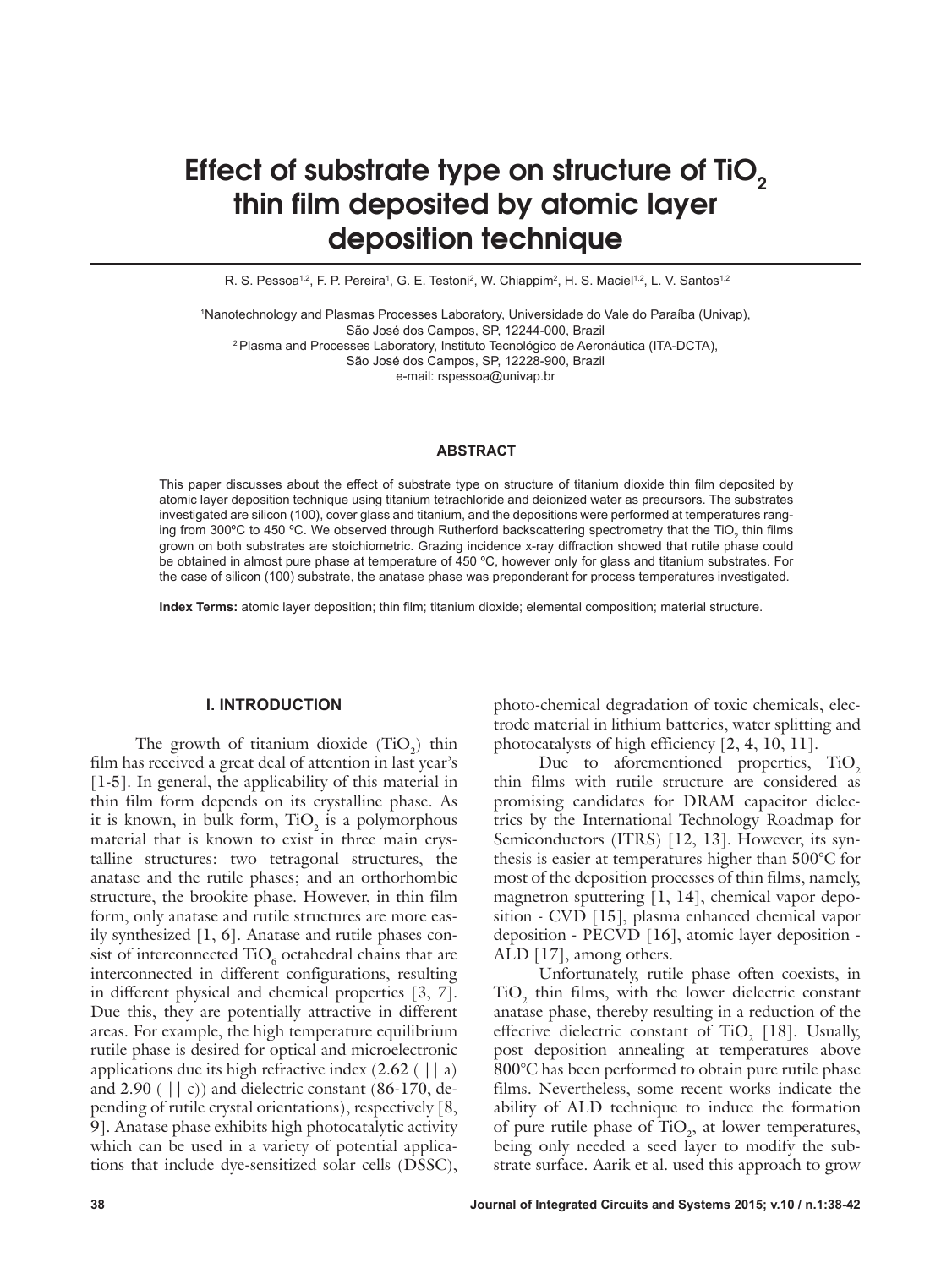# Effect of substrate type on structure of TiO<sub>2</sub> thin film deposited by atomic layer deposition technique

R. S. Pessoa<sup>1,2</sup>, F. P. Pereira<sup>1</sup>, G. E. Testoni<sup>2</sup>, W. Chiappim<sup>2</sup>, H. S. Maciel<sup>1,2</sup>, L. V. Santos<sup>1,2</sup>

1 Nanotechnology and Plasmas Processes Laboratory, Universidade do Vale do Paraíba (Univap), São José dos Campos, SP, 12244-000, Brazil 2 Plasma and Processes Laboratory, Instituto Tecnológico de Aeronáutica (ITA-DCTA), São José dos Campos, SP, 12228-900, Brazil e-mail: rspessoa@univap.br

#### **ABSTRACT**

This paper discusses about the effect of substrate type on structure of titanium dioxide thin film deposited by atomic layer deposition technique using titanium tetrachloride and deionized water as precursors. The substrates investigated are silicon (100), cover glass and titanium, and the depositions were performed at temperatures ranging from 300°C to 450 °C. We observed through Rutherford backscattering spectrometry that the TiO<sub>2</sub> thin films grown on both substrates are stoichiometric. Grazing incidence x-ray diffraction showed that rutile phase could be obtained in almost pure phase at temperature of 450 °C, however only for glass and titanium substrates. For the case of silicon (100) substrate, the anatase phase was preponderant for process temperatures investigated.

**Index Terms:** atomic layer deposition; thin film; titanium dioxide; elemental composition; material structure.

#### **I. INTRODUCTION**

The growth of titanium dioxide  $(TiO_2)$  thin film has received a great deal of attention in last year's [1-5]. In general, the applicability of this material in thin film form depends on its crystalline phase. As it is known, in bulk form,  $TiO<sub>2</sub>$  is a polymorphous material that is known to exist in three main crystalline structures: two tetragonal structures, the anatase and the rutile phases; and an orthorhombic structure, the brookite phase. However, in thin film form, only anatase and rutile structures are more easily synthesized [1, 6]. Anatase and rutile phases consist of interconnected  $\rm TiO_6$  octahedral chains that are interconnected in different configurations, resulting in different physical and chemical properties [3, 7]. Due this, they are potentially attractive in different areas. For example, the high temperature equilibrium rutile phase is desired for optical and microelectronic applications due its high refractive index  $(2.62 (||a))$ and  $2.90$  ( || c)) and dielectric constant (86-170, depending of rutile crystal orientations), respectively [8, 9]. Anatase phase exhibits high photocatalytic activity which can be used in a variety of potential applications that include dye-sensitized solar cells (DSSC),

photo-chemical degradation of toxic chemicals, electrode material in lithium batteries, water splitting and photocatalysts of high efficiency [2, 4, 10, 11].

Due to aforementioned properties, TiO<sub>2</sub> thin films with rutile structure are considered as promising candidates for DRAM capacitor dielectrics by the International Technology Roadmap for Semiconductors (ITRS) [12, 13]. However, its synthesis is easier at temperatures higher than 500°C for most of the deposition processes of thin films, namely, magnetron sputtering [1, 14], chemical vapor deposition - CVD [15], plasma enhanced chemical vapor deposition - PECVD [16], atomic layer deposition - ALD [17], among others.

Unfortunately, rutile phase often coexists, in  $TiO<sub>2</sub>$  thin films, with the lower dielectric constant anatase phase, thereby resulting in a reduction of the effective dielectric constant of TiO<sub>2</sub> [18]. Usually, post deposition annealing at temperatures above 800°C has been performed to obtain pure rutile phase films. Nevertheless, some recent works indicate the ability of ALD technique to induce the formation of pure rutile phase of  $TiO<sub>2</sub>$ , at lower temperatures, being only needed a seed layer to modify the substrate surface. Aarik et al. used this approach to grow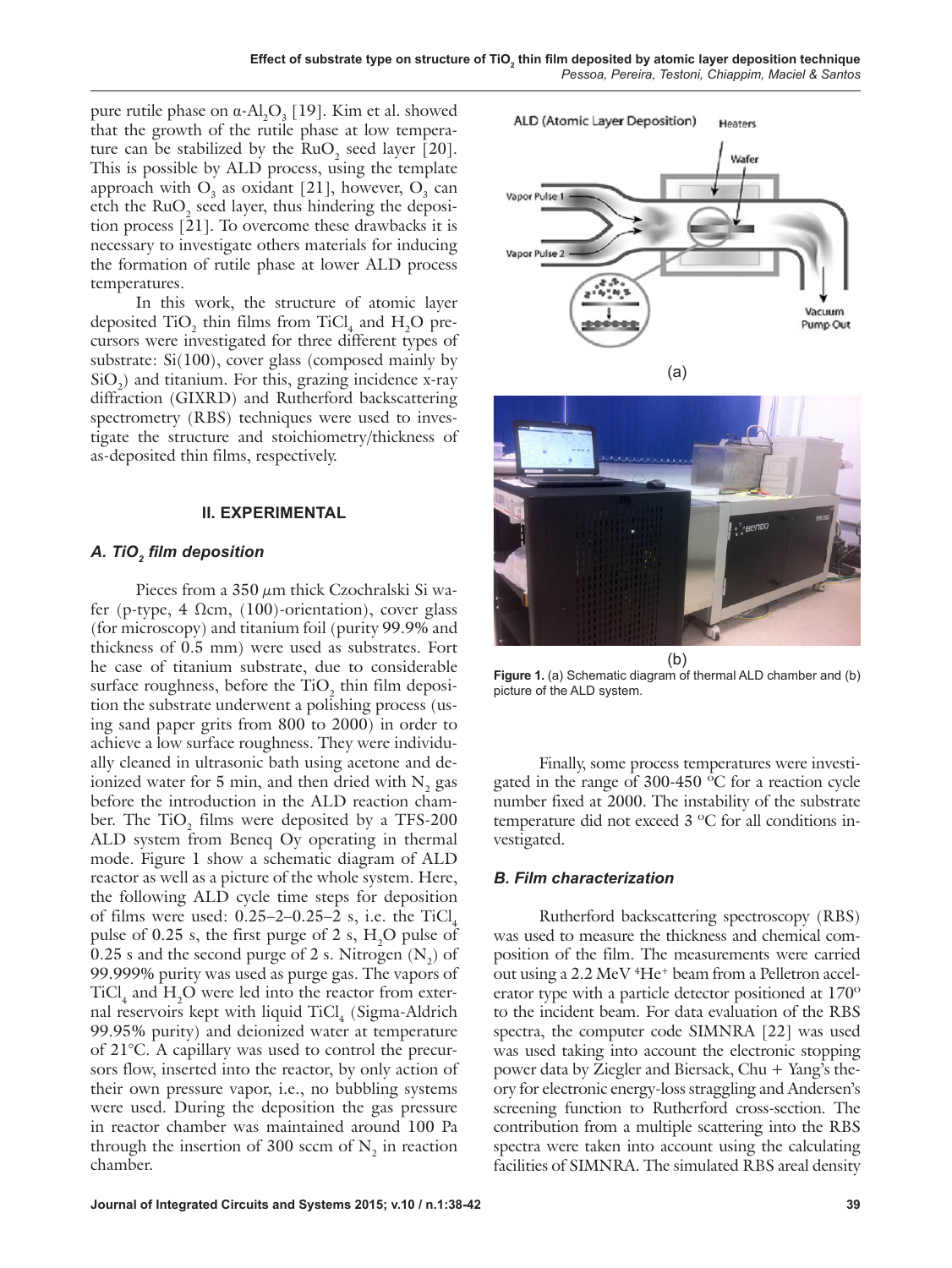pure rutile phase on α- $\text{Al}_2\text{O}_3$  [19]. Kim et al. showed that the growth of the rutile phase at low temperature can be stabilized by the  $RuO<sub>2</sub>$  seed layer [20]. This is possible by ALD process, using the template approach with  $O_3$  as oxidant [21], however,  $O_3$  can etch the  $\text{RuO}_2$  seed layer, thus hindering the deposition process [21]. To overcome these drawbacks it is necessary to investigate others materials for inducing the formation of rutile phase at lower ALD process temperatures.

In this work, the structure of atomic layer deposited TiO<sub>2</sub> thin films from TiCl<sub>4</sub> and H<sub>2</sub>O precursors were investigated for three different types of substrate: Si(100), cover glass (composed mainly by  $\text{SiO}_2$ ) and titanium. For this, grazing incidence x-ray diffraction (GIXRD) and Rutherford backscattering spectrometry (RBS) techniques were used to investigate the structure and stoichiometry/thickness of as-deposited thin films, respectively.

## **II. EXPERIMENTAL**

# *A. TiO2 film deposition*

Pieces from a 350 μm thick Czochralski Si wafer (p-type, 4  $\Omega$ cm, (100)-orientation), cover glass (for microscopy) and titanium foil (purity 99.9% and thickness of 0.5 mm) were used as substrates. Fort he case of titanium substrate, due to considerable surface roughness, before the TiO<sub>2</sub> thin film deposition the substrate underwent a polishing process (using sand paper grits from 800 to 2000) in order to achieve a low surface roughness. They were individually cleaned in ultrasonic bath using acetone and deionized water for 5 min, and then dried with  $N_{2}$  gas before the introduction in the ALD reaction chamber. The  $TiO<sub>2</sub>$  films were deposited by a TFS-200 ALD system from Beneq Oy operating in thermal mode. Figure 1 show a schematic diagram of ALD reactor as well as a picture of the whole system. Here, the following ALD cycle time steps for deposition of films were used:  $0.25-2-0.25-2$  s, i.e. the TiCl<sub>4</sub> pulse of  $0.25$  s, the first purge of 2 s,  $H_2O$  pulse of 0.25 s and the second purge of 2 s. Nitrogen  $(N_2)$  of 99.999% purity was used as purge gas. The vapors of  $TiCl<sub>4</sub>$  and  $H<sub>2</sub>O$  were led into the reactor from external reservoirs kept with liquid  $\operatorname{TiCl}_{4}$  (Sigma-Aldrich 99.95% purity) and deionized water at temperature of 21°C. A capillary was used to control the precursors flow, inserted into the reactor, by only action of their own pressure vapor, i.e., no bubbling systems were used. During the deposition the gas pressure in reactor chamber was maintained around 100 Pa through the insertion of 300 sccm of  $N_2$  in reaction chamber.



(b)

**Figure 1.** (a) Schematic diagram of thermal ALD chamber and (b) picture of the ALD system.

Finally, some process temperatures were investigated in the range of 300-450 ºC for a reaction cycle number fixed at 2000. The instability of the substrate temperature did not exceed 3 ºC for all conditions investigated.

### *B. Film characterization*

Rutherford backscattering spectroscopy (RBS) was used to measure the thickness and chemical composition of the film. The measurements were carried out using a 2.2 MeV <sup>4</sup>He<sup>+</sup> beam from a Pelletron accelerator type with a particle detector positioned at 170º to the incident beam. For data evaluation of the RBS spectra, the computer code SIMNRA [22] was used was used taking into account the electronic stopping power data by Ziegler and Biersack, Chu + Yang's theory for electronic energy-loss straggling and Andersen's screening function to Rutherford cross-section. The contribution from a multiple scattering into the RBS spectra were taken into account using the calculating facilities of SIMNRA. The simulated RBS areal density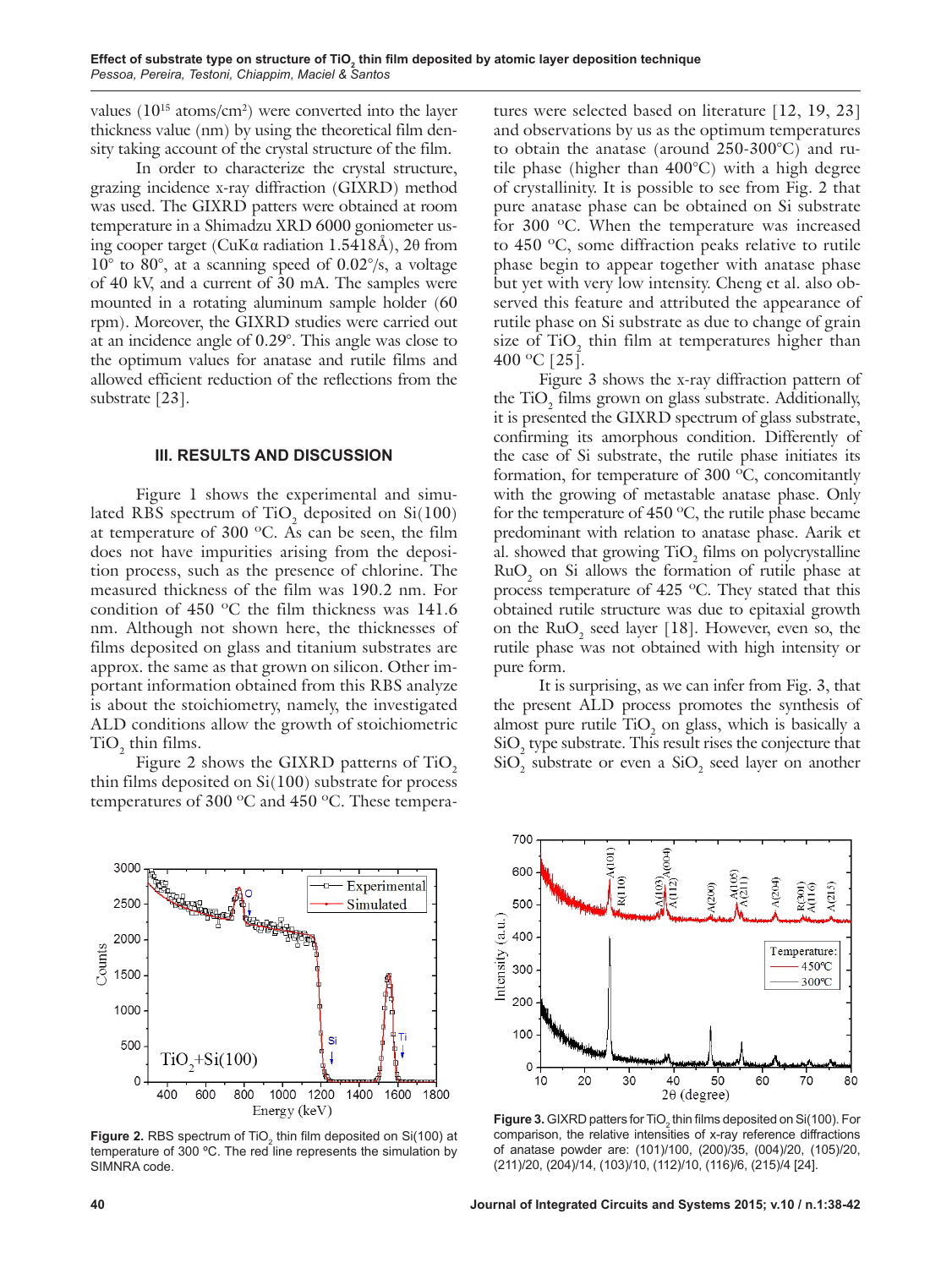values  $(10^{15} \text{ atoms/cm}^2)$  were converted into the layer thickness value (nm) by using the theoretical film density taking account of the crystal structure of the film.

In order to characterize the crystal structure, grazing incidence x-ray diffraction (GIXRD) method was used. The GIXRD patters were obtained at room temperature in a Shimadzu XRD 6000 goniometer using cooper target (CuKα radiation 1.5418Å), 2θ from 10° to 80°, at a scanning speed of 0.02°/s, a voltage of 40 kV, and a current of 30 mA. The samples were mounted in a rotating aluminum sample holder (60 rpm). Moreover, the GIXRD studies were carried out at an incidence angle of 0.29°. This angle was close to the optimum values for anatase and rutile films and allowed efficient reduction of the reflections from the substrate [23].

#### **III. RESULTS AND DISCUSSION**

Figure 1 shows the experimental and simulated RBS spectrum of TiO<sub>2</sub> deposited on  $Si(100)$ at temperature of 300 ºC. As can be seen, the film does not have impurities arising from the deposition process, such as the presence of chlorine. The measured thickness of the film was 190.2 nm. For condition of 450 ºC the film thickness was 141.6 nm. Although not shown here, the thicknesses of films deposited on glass and titanium substrates are approx. the same as that grown on silicon. Other important information obtained from this RBS analyze is about the stoichiometry, namely, the investigated ALD conditions allow the growth of stoichiometric TiO<sub>2</sub> thin films.

Figure 2 shows the GIXRD patterns of  $TiO<sub>2</sub>$ thin films deposited on  $Si(100)$  substrate for process temperatures of 300 ºC and 450 ºC. These tempera-



**Figure 2.** RBS spectrum of TiO $_2$  thin film deposited on Si(100) at temperature of 300 ºC. The red line represents the simulation by SIMNRA code.

tures were selected based on literature [12, 19, 23] and observations by us as the optimum temperatures to obtain the anatase (around 250-300°C) and rutile phase (higher than 400°C) with a high degree of crystallinity. It is possible to see from Fig. 2 that pure anatase phase can be obtained on Si substrate for 300 ºC. When the temperature was increased to 450 ºC, some diffraction peaks relative to rutile phase begin to appear together with anatase phase but yet with very low intensity. Cheng et al. also observed this feature and attributed the appearance of rutile phase on Si substrate as due to change of grain size of TiO<sub>2</sub> thin film at temperatures higher than 400 ºC [25].

Figure 3 shows the x-ray diffraction pattern of the  $TiO<sub>2</sub>$  films grown on glass substrate. Additionally, it is presented the GIXRD spectrum of glass substrate, confirming its amorphous condition. Differently of the case of Si substrate, the rutile phase initiates its formation, for temperature of  $300\,^{\circ}\text{C}$ , concomitantly with the growing of metastable anatase phase. Only for the temperature of 450 ºC, the rutile phase became predominant with relation to anatase phase. Aarik et al. showed that growing  $TiO<sub>2</sub>$  films on polycrystalline  $RuO<sub>2</sub>$  on Si allows the formation of rutile phase at process temperature of 425 ºC. They stated that this obtained rutile structure was due to epitaxial growth on the  $RuO<sub>2</sub>$  seed layer [18]. However, even so, the rutile phase was not obtained with high intensity or pure form.

It is surprising, as we can infer from Fig. 3, that the present ALD process promotes the synthesis of almost pure rutile  $TiO<sub>2</sub>$  on glass, which is basically a  $SiO<sub>2</sub>$  type substrate. This result rises the conjecture that  $SiO_2$  substrate or even a  $SiO_2$  seed layer on another



**Figure 3.** GIXRD patters for TiO<sub>2</sub> thin films deposited on Si(100). For comparison, the relative intensities of x-ray reference diffractions of anatase powder are: (101)/100, (200)/35, (004)/20, (105)/20, (211)/20, (204)/14, (103)/10, (112)/10, (116)/6, (215)/4 [24].

**40 Journal of Integrated Circuits and Systems 2015; v.10 / n.1:38-42**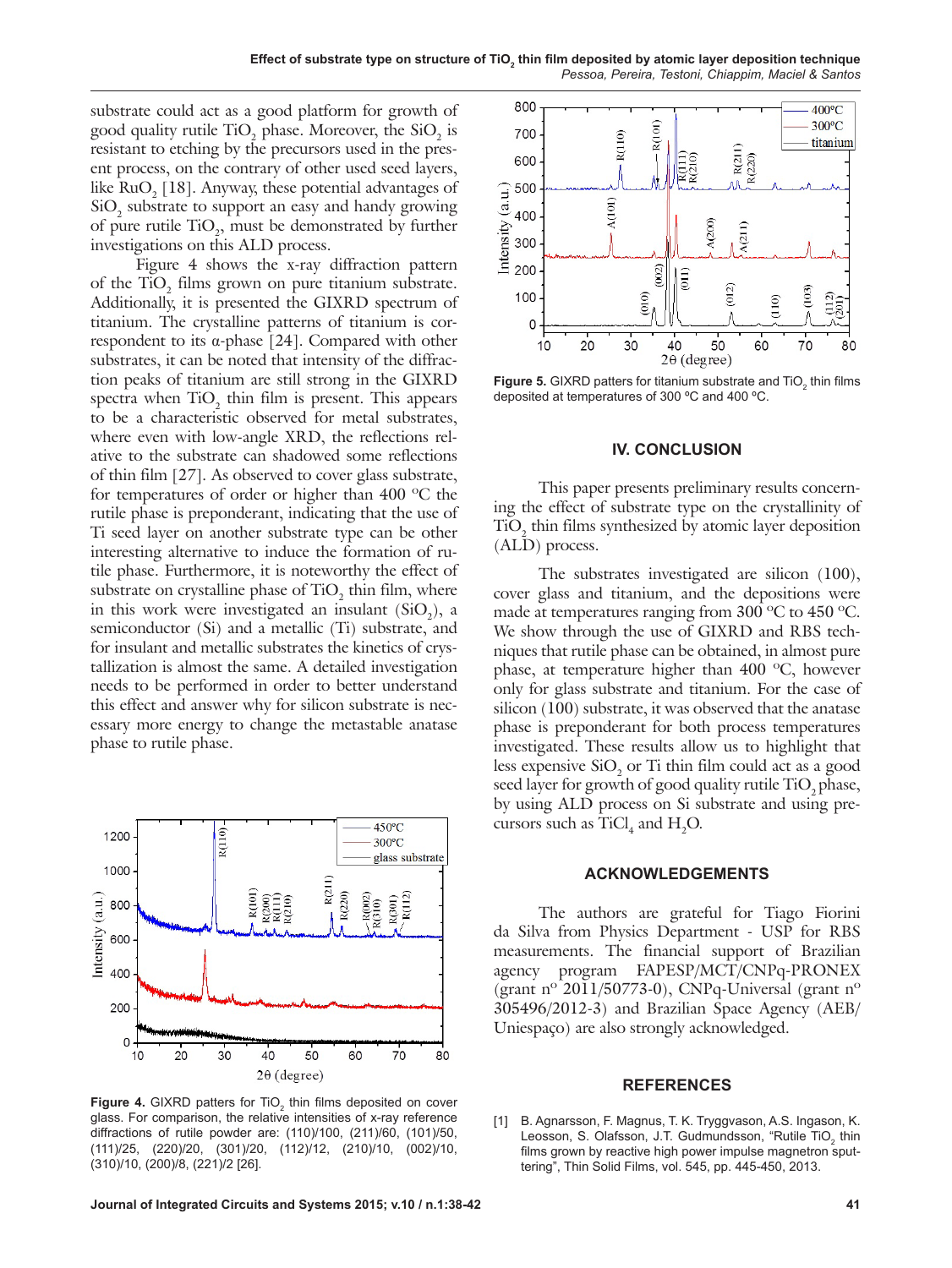substrate could act as a good platform for growth of good quality rutile  $\text{TiO}_2$  phase. Moreover, the  $\text{SiO}_2$  is resistant to etching by the precursors used in the present process, on the contrary of other used seed layers, like  $\text{RuO}_2$  [18]. Anyway, these potential advantages of  $SiO<sub>2</sub>$  substrate to support an easy and handy growing of pure rutile  $\text{TiO}_2$ , must be demonstrated by further investigations on this ALD process.

Figure 4 shows the x-ray diffraction pattern of the  $TiO<sub>2</sub>$  films grown on pure titanium substrate. Additionally, it is presented the GIXRD spectrum of titanium. The crystalline patterns of titanium is correspondent to its α-phase [24]. Compared with other substrates, it can be noted that intensity of the diffraction peaks of titanium are still strong in the GIXRD spectra when  $TiO<sub>2</sub>$  thin film is present. This appears to be a characteristic observed for metal substrates, where even with low-angle XRD, the reflections relative to the substrate can shadowed some reflections of thin film [27]. As observed to cover glass substrate, for temperatures of order or higher than 400 ºC the rutile phase is preponderant, indicating that the use of Ti seed layer on another substrate type can be other interesting alternative to induce the formation of rutile phase. Furthermore, it is noteworthy the effect of substrate on crystalline phase of  $TiO_2$  thin film, where in this work were investigated an insulant  $(SiO<sub>2</sub>)$ , a semiconductor (Si) and a metallic (Ti) substrate, and for insulant and metallic substrates the kinetics of crystallization is almost the same. A detailed investigation needs to be performed in order to better understand this effect and answer why for silicon substrate is necessary more energy to change the metastable anatase phase to rutile phase.



**Figure 4.** GIXRD patters for  $TiO<sub>2</sub>$  thin films deposited on cover glass. For comparison, the relative intensities of x-ray reference diffractions of rutile powder are: (110)/100, (211)/60, (101)/50, (111)/25, (220)/20, (301)/20, (112)/12, (210)/10, (002)/10, (310)/10, (200)/8, (221)/2 [26].



**Figure 5.** GIXRD patters for titanium substrate and  $TiO<sub>2</sub>$  thin films deposited at temperatures of 300 ºC and 400 ºC.

#### **IV. CONCLUSION**

This paper presents preliminary results concerning the effect of substrate type on the crystallinity of  $\text{TiO}_2$  thin films synthesized by atomic layer deposition (ALD) process.

The substrates investigated are silicon (100), cover glass and titanium, and the depositions were made at temperatures ranging from 300 ºC to 450 ºC. We show through the use of GIXRD and RBS techniques that rutile phase can be obtained, in almost pure phase, at temperature higher than 400 ºC, however only for glass substrate and titanium. For the case of silicon (100) substrate, it was observed that the anatase phase is preponderant for both process temperatures investigated. These results allow us to highlight that less expensive  $SiO_2$  or Ti thin film could act as a good seed layer for growth of good quality rutile TiO<sub>2</sub> phase, by using ALD process on Si substrate and using precursors such as  $TiCl<sub>4</sub>$  and  $H<sub>2</sub>O$ .

# **ACKNOWLEDGEMENTS**

The authors are grateful for Tiago Fiorini da Silva from Physics Department - USP for RBS measurements. The financial support of Brazilian agency program FAPESP/MCT/CNPq-PRONEX (grant nº 2011/50773-0), CNPq-Universal (grant nº 305496/2012-3) and Brazilian Space Agency (AEB/ Uniespaço) are also strongly acknowledged.

#### **REFERENCES**

[1] B. Agnarsson, F. Magnus, T. K. Tryggvason, A.S. Ingason, K. Leosson, S. Olafsson, J.T. Gudmundsson, "Rutile TiO<sub>2</sub> thin films grown by reactive high power impulse magnetron sputtering", Thin Solid Films, vol. 545, pp. 445-450, 2013.